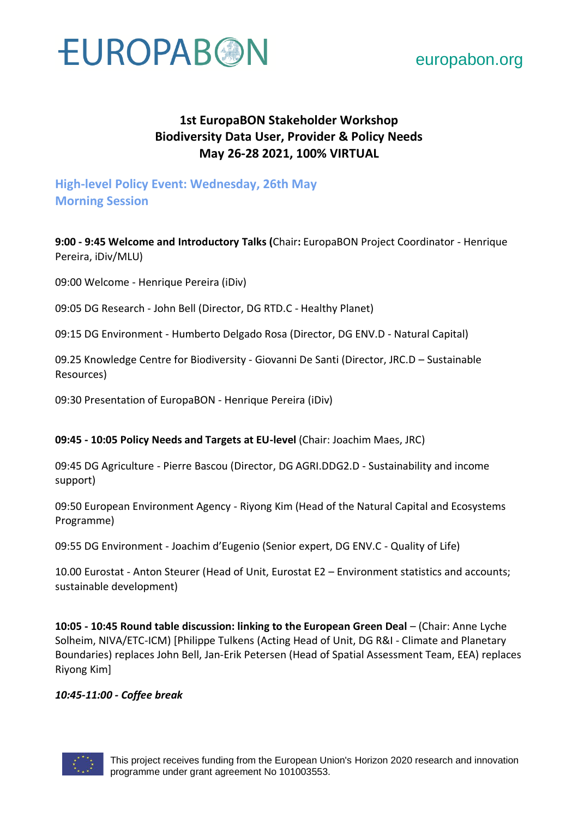

### [europabon.org](https://europabon.org/)

### **1st EuropaBON Stakeholder Workshop Biodiversity Data User, Provider & Policy Needs May 26-28 2021, 100% VIRTUAL**

### **High-level Policy Event: Wednesday, 26th May Morning Session**

**9:00 - 9:45 Welcome and Introductory Talks (**Chair**:** EuropaBON Project Coordinator - Henrique Pereira, iDiv/MLU)

09:00 Welcome - Henrique Pereira (iDiv)

09:05 DG Research - John Bell (Director, DG RTD.C - Healthy Planet)

09:15 DG Environment - Humberto Delgado Rosa (Director, DG ENV.D - Natural Capital)

09.25 Knowledge Centre for Biodiversity - Giovanni De Santi (Director, JRC.D – Sustainable Resources)

09:30 Presentation of EuropaBON - Henrique Pereira (iDiv)

**09:45 - 10:05 Policy Needs and Targets at EU-level** (Chair: Joachim Maes, JRC)

09:45 DG Agriculture - Pierre Bascou (Director, DG AGRI.DDG2.D - Sustainability and income support)

09:50 European Environment Agency - Riyong Kim (Head of the Natural Capital and Ecosystems Programme)

09:55 DG Environment - Joachim d'Eugenio (Senior expert, DG ENV.C - Quality of Life)

10.00 Eurostat - Anton Steurer (Head of Unit, Eurostat E2 – Environment statistics and accounts; sustainable development)

**10:05 - 10:45 Round table discussion: linking to the European Green Deal** – (Chair: Anne Lyche Solheim, NIVA/ETC-ICM) [Philippe Tulkens (Acting Head of Unit, DG R&I - Climate and Planetary Boundaries) replaces John Bell, Jan-Erik Petersen (Head of Spatial Assessment Team, EEA) replaces Riyong Kim]

#### *10:45-11:00 - Coffee break*

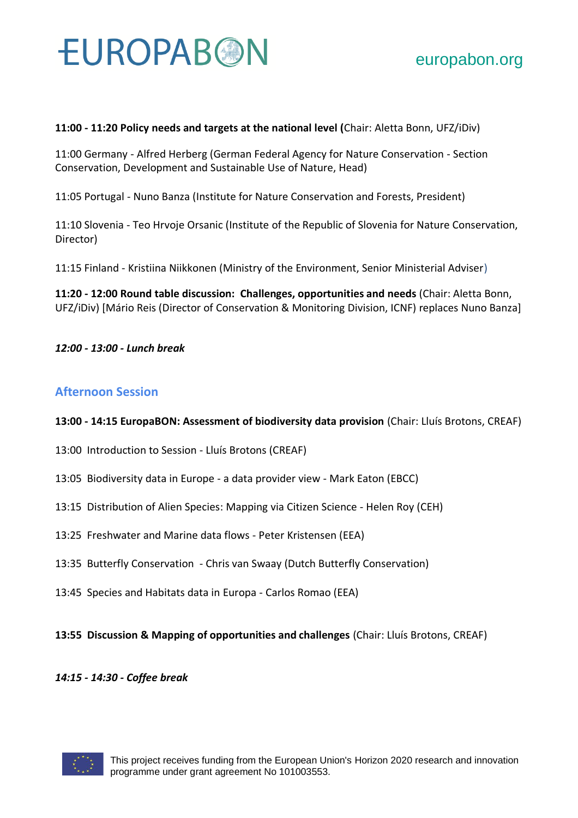#### **11:00 - 11:20 Policy needs and targets at the national level (**Chair: Aletta Bonn, UFZ/iDiv)

11:00 Germany - Alfred Herberg (German Federal Agency for Nature Conservation - Section Conservation, Development and Sustainable Use of Nature, Head)

11:05 Portugal - Nuno Banza (Institute for Nature Conservation and Forests, President)

11:10 Slovenia - Teo Hrvoje Orsanic (Institute of the Republic of Slovenia for Nature Conservation, Director)

11:15 Finland - Kristiina Niikkonen (Ministry of the Environment, Senior Ministerial Adviser)

**11:20 - 12:00 Round table discussion: Challenges, opportunities and needs** (Chair: Aletta Bonn, UFZ/iDiv) [Mário Reis (Director of Conservation & Monitoring Division, ICNF) replaces Nuno Banza]

#### *12:00 - 13:00 - Lunch break*

#### **Afternoon Session**

#### **13:00 - 14:15 EuropaBON: Assessment of biodiversity data provision** (Chair: Lluís Brotons, CREAF)

- 13:00 Introduction to Session Lluís Brotons (CREAF)
- 13:05 Biodiversity data in Europe a data provider view Mark Eaton (EBCC)
- 13:15 Distribution of Alien Species: Mapping via Citizen Science Helen Roy (CEH)
- 13:25 Freshwater and Marine data flows Peter Kristensen (EEA)
- 13:35 Butterfly Conservation Chris van Swaay (Dutch Butterfly Conservation)
- 13:45 Species and Habitats data in Europa Carlos Romao (EEA)

#### **13:55 Discussion & Mapping of opportunities and challenges** (Chair: Lluís Brotons, CREAF)

#### *14:15 - 14:30 - Coffee break*

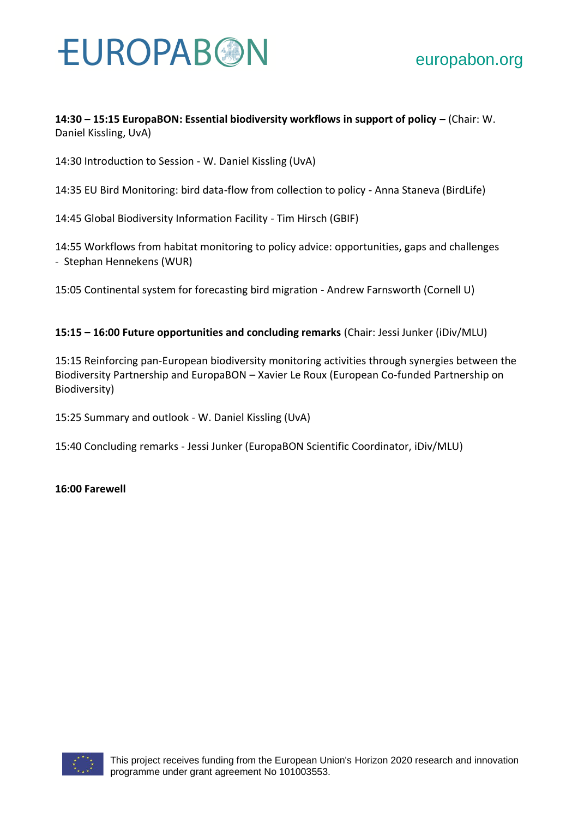**14:30 – 15:15 EuropaBON: Essential biodiversity workflows in support of policy – (Chair: W.** Daniel Kissling, UvA)

14:30 Introduction to Session - W. Daniel Kissling (UvA)

14:35 EU Bird Monitoring: bird data-flow from collection to policy - Anna Staneva (BirdLife)

14:45 Global Biodiversity Information Facility - Tim Hirsch (GBIF)

14:55 Workflows from habitat monitoring to policy advice: opportunities, gaps and challenges - Stephan Hennekens (WUR)

15:05 Continental system for forecasting bird migration - Andrew Farnsworth (Cornell U)

#### **15:15 – 16:00 Future opportunities and concluding remarks** (Chair: Jessi Junker (iDiv/MLU)

15:15 Reinforcing pan-European biodiversity monitoring activities through synergies between the Biodiversity Partnership and EuropaBON – Xavier Le Roux (European Co-funded Partnership on Biodiversity)

15:25 Summary and outlook - W. Daniel Kissling (UvA)

15:40 Concluding remarks - Jessi Junker (EuropaBON Scientific Coordinator, iDiv/MLU)

**16:00 Farewell**

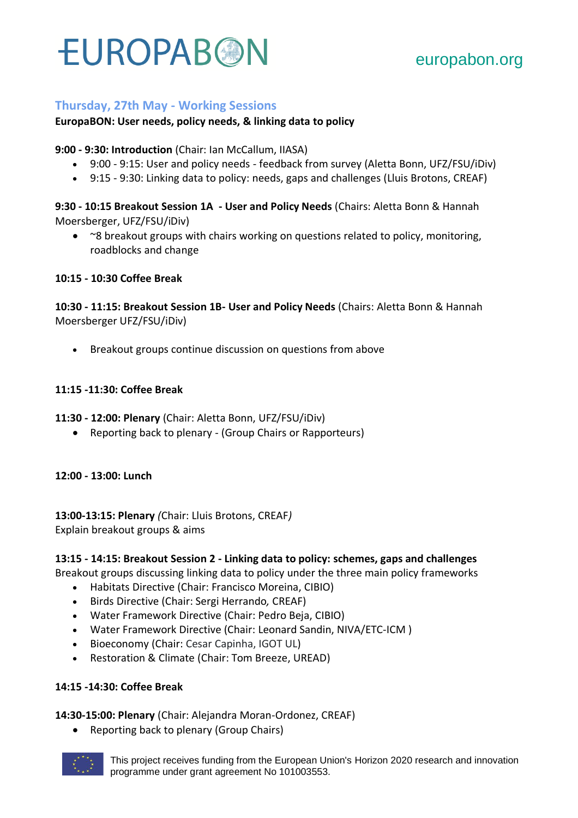#### **Thursday, 27th May - Working Sessions**

#### **EuropaBON: User needs, policy needs, & linking data to policy**

**9:00 - 9:30: Introduction** (Chair: Ian McCallum, IIASA)

- 9:00 9:15: User and policy needs feedback from survey (Aletta Bonn, UFZ/FSU/iDiv)
- 9:15 9:30: Linking data to policy: needs, gaps and challenges (Lluis Brotons, CREAF)

**9:30 - 10:15 Breakout Session 1A - User and Policy Needs** (Chairs: Aletta Bonn & Hannah Moersberger, UFZ/FSU/iDiv)

• ~8 breakout groups with chairs working on questions related to policy, monitoring, roadblocks and change

**10:15 - 10:30 Coffee Break**

**10:30 - 11:15: Breakout Session 1B- User and Policy Needs** (Chairs: Aletta Bonn & Hannah Moersberger UFZ/FSU/iDiv)

• Breakout groups continue discussion on questions from above

#### **11:15 -11:30: Coffee Break**

**11:30 - 12:00: Plenary** (Chair: Aletta Bonn, UFZ/FSU/iDiv)

• Reporting back to plenary - (Group Chairs or Rapporteurs)

**12:00 - 13:00: Lunch**

**13:00-13:15: Plenary** *(*Chair: Lluis Brotons, CREAF*)* Explain breakout groups & aims

#### **13:15 - 14:15: Breakout Session 2 - Linking data to policy: schemes, gaps and challenges**

Breakout groups discussing linking data to policy under the three main policy frameworks

- Habitats Directive (Chair: Francisco Moreina, CIBIO)
- Birds Directive (Chair: Sergi Herrando*,* CREAF)
- Water Framework Directive (Chair: Pedro Beja, CIBIO)
- Water Framework Directive (Chair: Leonard Sandin, NIVA/ETC-ICM )
- Bioeconomy (Chair: Cesar Capinha, IGOT UL)
- Restoration & Climate (Chair: Tom Breeze, UREAD)

#### **14:15 -14:30: Coffee Break**

**14:30-15:00: Plenary** (Chair: Alejandra Moran-Ordonez, CREAF)

• Reporting back to plenary (Group Chairs)

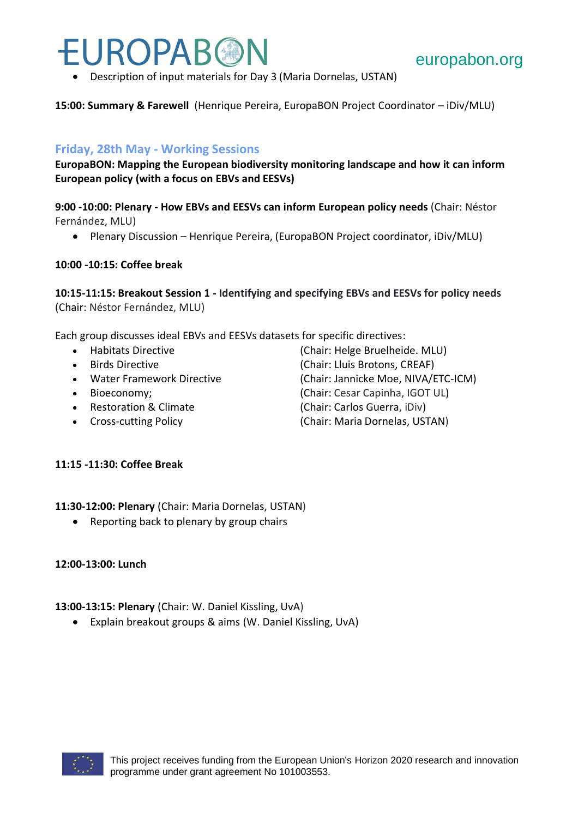• Description of input materials for Day 3 (Maria Dornelas, USTAN)

**15:00: Summary & Farewell** (Henrique Pereira, EuropaBON Project Coordinator – iDiv/MLU)

#### **Friday, 28th May - Working Sessions**

**EuropaBON: Mapping the European biodiversity monitoring landscape and how it can inform European policy (with a focus on EBVs and EESVs)**

**9:00 -10:00: Plenary - How EBVs and EESVs can inform European policy needs** (Chair: Néstor Fernández, MLU)

• Plenary Discussion – Henrique Pereira, (EuropaBON Project coordinator, iDiv/MLU)

#### **10:00 -10:15: Coffee break**

**10:15-11:15: Breakout Session 1 - Identifying and specifying EBVs and EESVs for policy needs** (Chair: Néstor Fernández, MLU)

Each group discusses ideal EBVs and EESVs datasets for specific directives:

- 
- 
- 
- 
- 
- 
- **11:15 -11:30: Coffee Break**

**11:30-12:00: Plenary** (Chair: Maria Dornelas, USTAN)

• Reporting back to plenary by group chairs

#### **12:00-13:00: Lunch**

#### **13:00-13:15: Plenary** (Chair: W. Daniel Kissling, UvA)

• Explain breakout groups & aims (W. Daniel Kissling, UvA)



• Habitats Directive **Chair: Helge Bruelheide. MLU**) • Birds Directive (Chair: Lluis Brotons, CREAF) • Water Framework Directive (Chair: Jannicke Moe, NIVA/ETC-ICM) • Bioeconomy; (Chair: Cesar Capinha, IGOT UL) • Restoration & Climate (Chair: Carlos Guerra, iDiv) • Cross-cutting Policy (Chair: Maria Dornelas, USTAN)